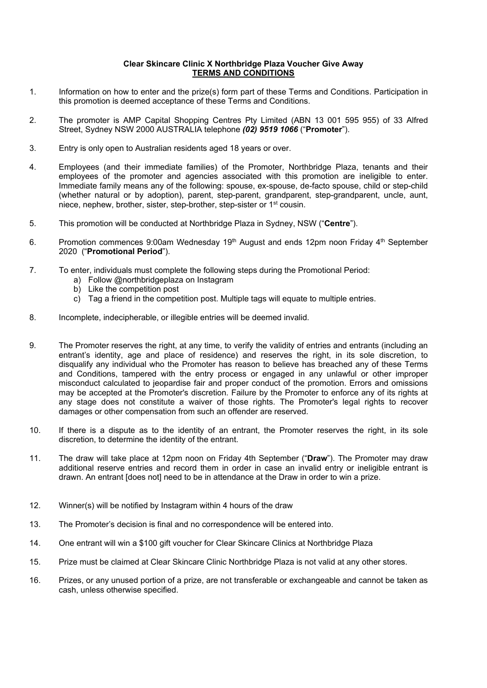## **Clear Skincare Clinic X Northbridge Plaza Voucher Give Away TERMS AND CONDITIONS**

- 1. Information on how to enter and the prize(s) form part of these Terms and Conditions. Participation in this promotion is deemed acceptance of these Terms and Conditions.
- 2. The promoter is AMP Capital Shopping Centres Pty Limited (ABN 13 001 595 955) of 33 Alfred Street, Sydney NSW 2000 AUSTRALIA telephone *(02) 9519 1066* ("**Promoter**").
- 3. Entry is only open to Australian residents aged 18 years or over.
- 4. Employees (and their immediate families) of the Promoter, Northbridge Plaza, tenants and their employees of the promoter and agencies associated with this promotion are ineligible to enter. Immediate family means any of the following: spouse, ex-spouse, de-facto spouse, child or step-child (whether natural or by adoption), parent, step-parent, grandparent, step-grandparent, uncle, aunt, niece, nephew, brother, sister, step-brother, step-sister or 1st cousin.
- 5. This promotion will be conducted at Northbridge Plaza in Sydney, NSW ("**Centre**").
- 6. Promotion commences 9:00am Wednesday  $19<sup>th</sup>$  August and ends 12pm noon Friday  $4<sup>th</sup>$  September 2020 ("**Promotional Period**").
- 7. To enter, individuals must complete the following steps during the Promotional Period:
	- a) Follow @northbridgeplaza on Instagram
	- b) Like the competition post
	- c) Tag a friend in the competition post. Multiple tags will equate to multiple entries.
- 8. Incomplete, indecipherable, or illegible entries will be deemed invalid.
- 9. The Promoter reserves the right, at any time, to verify the validity of entries and entrants (including an entrant's identity, age and place of residence) and reserves the right, in its sole discretion, to disqualify any individual who the Promoter has reason to believe has breached any of these Terms and Conditions, tampered with the entry process or engaged in any unlawful or other improper misconduct calculated to jeopardise fair and proper conduct of the promotion. Errors and omissions may be accepted at the Promoter's discretion. Failure by the Promoter to enforce any of its rights at any stage does not constitute a waiver of those rights. The Promoter's legal rights to recover damages or other compensation from such an offender are reserved.
- 10. If there is a dispute as to the identity of an entrant, the Promoter reserves the right, in its sole discretion, to determine the identity of the entrant.
- 11. The draw will take place at 12pm noon on Friday 4th September ("**Draw**"). The Promoter may draw additional reserve entries and record them in order in case an invalid entry or ineligible entrant is drawn. An entrant [does not] need to be in attendance at the Draw in order to win a prize.
- 12. Winner(s) will be notified by Instagram within 4 hours of the draw
- 13. The Promoter's decision is final and no correspondence will be entered into.
- 14. One entrant will win a \$100 gift voucher for Clear Skincare Clinics at Northbridge Plaza
- 15. Prize must be claimed at Clear Skincare Clinic Northbridge Plaza is not valid at any other stores.
- 16. Prizes, or any unused portion of a prize, are not transferable or exchangeable and cannot be taken as cash, unless otherwise specified.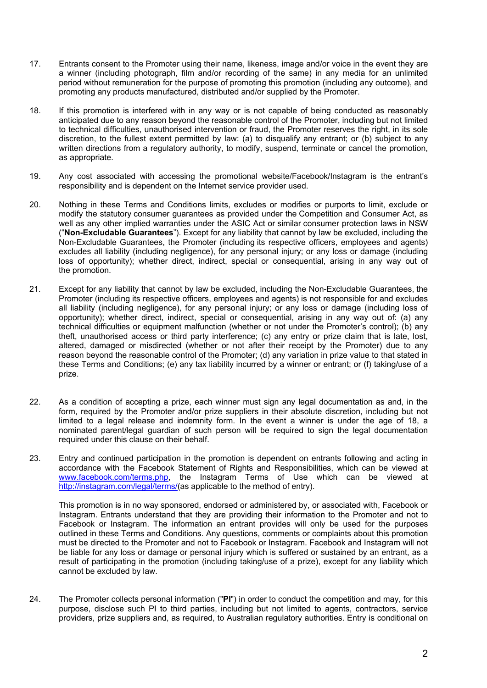- 17. Entrants consent to the Promoter using their name, likeness, image and/or voice in the event they are a winner (including photograph, film and/or recording of the same) in any media for an unlimited period without remuneration for the purpose of promoting this promotion (including any outcome), and promoting any products manufactured, distributed and/or supplied by the Promoter.
- 18. If this promotion is interfered with in any way or is not capable of being conducted as reasonably anticipated due to any reason beyond the reasonable control of the Promoter, including but not limited to technical difficulties, unauthorised intervention or fraud, the Promoter reserves the right, in its sole discretion, to the fullest extent permitted by law: (a) to disqualify any entrant; or (b) subject to any written directions from a regulatory authority, to modify, suspend, terminate or cancel the promotion, as appropriate.
- 19. Any cost associated with accessing the promotional website/Facebook/Instagram is the entrant's responsibility and is dependent on the Internet service provider used.
- 20. Nothing in these Terms and Conditions limits, excludes or modifies or purports to limit, exclude or modify the statutory consumer guarantees as provided under the Competition and Consumer Act, as well as any other implied warranties under the ASIC Act or similar consumer protection laws in NSW ("**Non-Excludable Guarantees**"). Except for any liability that cannot by law be excluded, including the Non-Excludable Guarantees, the Promoter (including its respective officers, employees and agents) excludes all liability (including negligence), for any personal injury; or any loss or damage (including loss of opportunity); whether direct, indirect, special or consequential, arising in any way out of the promotion.
- 21. Except for any liability that cannot by law be excluded, including the Non-Excludable Guarantees, the Promoter (including its respective officers, employees and agents) is not responsible for and excludes all liability (including negligence), for any personal injury; or any loss or damage (including loss of opportunity); whether direct, indirect, special or consequential, arising in any way out of: (a) any technical difficulties or equipment malfunction (whether or not under the Promoter's control); (b) any theft, unauthorised access or third party interference; (c) any entry or prize claim that is late, lost, altered, damaged or misdirected (whether or not after their receipt by the Promoter) due to any reason beyond the reasonable control of the Promoter; (d) any variation in prize value to that stated in these Terms and Conditions; (e) any tax liability incurred by a winner or entrant; or (f) taking/use of a prize.
- 22. As a condition of accepting a prize, each winner must sign any legal documentation as and, in the form, required by the Promoter and/or prize suppliers in their absolute discretion, including but not limited to a legal release and indemnity form. In the event a winner is under the age of 18, a nominated parent/legal guardian of such person will be required to sign the legal documentation required under this clause on their behalf.
- 23. Entry and continued participation in the promotion is dependent on entrants following and acting in accordance with the Facebook Statement of Rights and Responsibilities, which can be viewed at [www.facebook.com/terms.php,](http://www.facebook.com/terms.php) the Instagram Terms of Use which can be viewed at [http://instagram.com/legal/terms/\(](http://instagram.com/legal/terms/)as applicable to the method of entry).

This promotion is in no way sponsored, endorsed or administered by, or associated with, Facebook or Instagram. Entrants understand that they are providing their information to the Promoter and not to Facebook or Instagram. The information an entrant provides will only be used for the purposes outlined in these Terms and Conditions. Any questions, comments or complaints about this promotion must be directed to the Promoter and not to Facebook or Instagram. Facebook and Instagram will not be liable for any loss or damage or personal injury which is suffered or sustained by an entrant, as a result of participating in the promotion (including taking/use of a prize), except for any liability which cannot be excluded by law.

24. The Promoter collects personal information ("**PI**") in order to conduct the competition and may, for this purpose, disclose such PI to third parties, including but not limited to agents, contractors, service providers, prize suppliers and, as required, to Australian regulatory authorities. Entry is conditional on